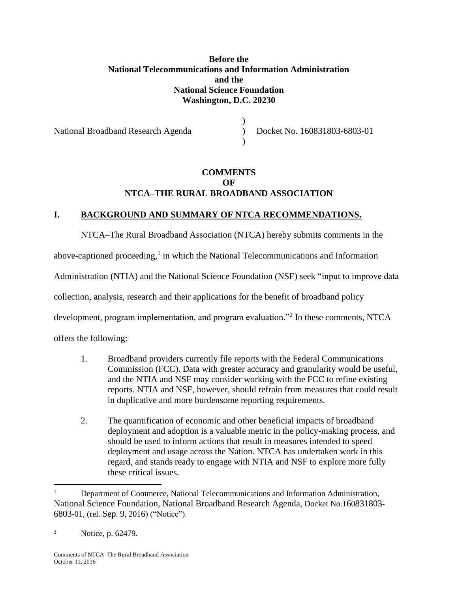# **Before the National Telecommunications and Information Administration and the National Science Foundation Washington, D.C. 20230**

)

)

National Broadband Research Agenda ) Docket No. 160831803-6803-01

# **COMMENTS OF NTCA–THE RURAL BROADBAND ASSOCIATION**

# **I. BACKGROUND AND SUMMARY OF NTCA RECOMMENDATIONS.**

NTCA–The Rural Broadband Association (NTCA) hereby submits comments in the

above-captioned proceeding,<sup>1</sup> in which the National Telecommunications and Information

Administration (NTIA) and the National Science Foundation (NSF) seek "input to improve data

collection, analysis, research and their applications for the benefit of broadband policy

development, program implementation, and program evaluation."<sup>2</sup> In these comments, NTCA

offers the following:

- 1. Broadband providers currently file reports with the Federal Communications Commission (FCC). Data with greater accuracy and granularity would be useful, and the NTIA and NSF may consider working with the FCC to refine existing reports. NTIA and NSF, however, should refrain from measures that could result in duplicative and more burdensome reporting requirements.
- 2. The quantification of economic and other beneficial impacts of broadband deployment and adoption is a valuable metric in the policy-making process, and should be used to inform actions that result in measures intended to speed deployment and usage across the Nation. NTCA has undertaken work in this regard, and stands ready to engage with NTIA and NSF to explore more fully these critical issues.

 $\overline{a}$ 1 Department of Commerce, National Telecommunications and Information Administration, National Science Foundation, National Broadband Research Agenda, Docket No.160831803- 6803-01, (rel. Sep. 9, 2016) ("Notice").

<sup>2</sup> Notice, p. 62479.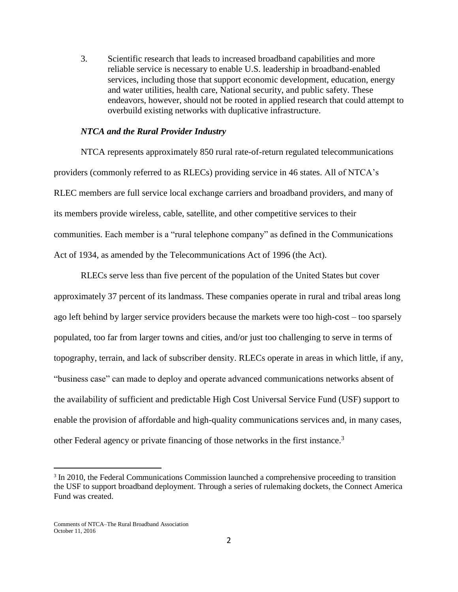3. Scientific research that leads to increased broadband capabilities and more reliable service is necessary to enable U.S. leadership in broadband-enabled services, including those that support economic development, education, energy and water utilities, health care, National security, and public safety. These endeavors, however, should not be rooted in applied research that could attempt to overbuild existing networks with duplicative infrastructure.

#### *NTCA and the Rural Provider Industry*

NTCA represents approximately 850 rural rate-of-return regulated telecommunications providers (commonly referred to as RLECs) providing service in 46 states. All of NTCA's RLEC members are full service local exchange carriers and broadband providers, and many of its members provide wireless, cable, satellite, and other competitive services to their communities. Each member is a "rural telephone company" as defined in the Communications Act of 1934, as amended by the Telecommunications Act of 1996 (the Act).

RLECs serve less than five percent of the population of the United States but cover approximately 37 percent of its landmass. These companies operate in rural and tribal areas long ago left behind by larger service providers because the markets were too high-cost – too sparsely populated, too far from larger towns and cities, and/or just too challenging to serve in terms of topography, terrain, and lack of subscriber density. RLECs operate in areas in which little, if any, "business case" can made to deploy and operate advanced communications networks absent of the availability of sufficient and predictable High Cost Universal Service Fund (USF) support to enable the provision of affordable and high-quality communications services and, in many cases, other Federal agency or private financing of those networks in the first instance.<sup>3</sup>

<sup>&</sup>lt;sup>3</sup> In 2010, the Federal Communications Commission launched a comprehensive proceeding to transition the USF to support broadband deployment. Through a series of rulemaking dockets, the Connect America Fund was created.

Comments of NTCA–The Rural Broadband Association October 11, 2016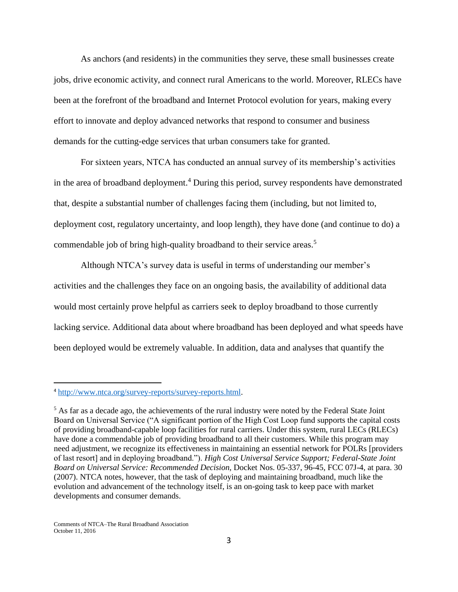As anchors (and residents) in the communities they serve, these small businesses create jobs, drive economic activity, and connect rural Americans to the world. Moreover, RLECs have been at the forefront of the broadband and Internet Protocol evolution for years, making every effort to innovate and deploy advanced networks that respond to consumer and business demands for the cutting-edge services that urban consumers take for granted.

For sixteen years, NTCA has conducted an annual survey of its membership's activities in the area of broadband deployment. <sup>4</sup> During this period, survey respondents have demonstrated that, despite a substantial number of challenges facing them (including, but not limited to, deployment cost, regulatory uncertainty, and loop length), they have done (and continue to do) a commendable job of bring high-quality broadband to their service areas.<sup>5</sup>

Although NTCA's survey data is useful in terms of understanding our member's activities and the challenges they face on an ongoing basis, the availability of additional data would most certainly prove helpful as carriers seek to deploy broadband to those currently lacking service. Additional data about where broadband has been deployed and what speeds have been deployed would be extremely valuable. In addition, data and analyses that quantify the

<sup>4</sup> [http://www.ntca.org/survey-reports/survey-reports.html.](http://www.ntca.org/survey-reports/survey-reports.html)

 $<sup>5</sup>$  As far as a decade ago, the achievements of the rural industry were noted by the Federal State Joint</sup> Board on Universal Service ("A significant portion of the High Cost Loop fund supports the capital costs of providing broadband-capable loop facilities for rural carriers. Under this system, rural LECs (RLECs) have done a commendable job of providing broadband to all their customers. While this program may need adjustment, we recognize its effectiveness in maintaining an essential network for POLRs [providers of last resort] and in deploying broadband."). *High Cost Universal Service Support; Federal-State Joint Board on Universal Service: Recommended Decision,* Docket Nos. 05-337, 96-45, FCC 07J-4, at para. 30 (2007). NTCA notes, however, that the task of deploying and maintaining broadband, much like the evolution and advancement of the technology itself, is an on-going task to keep pace with market developments and consumer demands.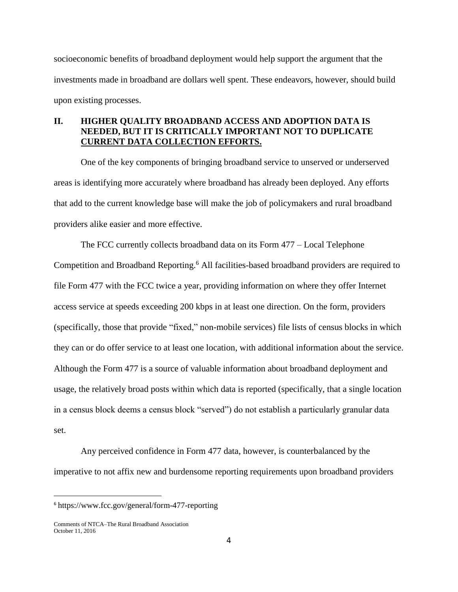socioeconomic benefits of broadband deployment would help support the argument that the investments made in broadband are dollars well spent. These endeavors, however, should build upon existing processes.

# **II. HIGHER QUALITY BROADBAND ACCESS AND ADOPTION DATA IS NEEDED, BUT IT IS CRITICALLY IMPORTANT NOT TO DUPLICATE CURRENT DATA COLLECTION EFFORTS.**

One of the key components of bringing broadband service to unserved or underserved areas is identifying more accurately where broadband has already been deployed. Any efforts that add to the current knowledge base will make the job of policymakers and rural broadband providers alike easier and more effective.

The FCC currently collects broadband data on its Form 477 – Local Telephone Competition and Broadband Reporting. <sup>6</sup> All facilities-based broadband providers are required to file Form 477 with the FCC twice a year, providing information on where they offer Internet access service at speeds exceeding 200 kbps in at least one direction. On the form, providers (specifically, those that provide "fixed," non-mobile services) file lists of census blocks in which they can or do offer service to at least one location, with additional information about the service. Although the Form 477 is a source of valuable information about broadband deployment and usage, the relatively broad posts within which data is reported (specifically, that a single location in a census block deems a census block "served") do not establish a particularly granular data set.

Any perceived confidence in Form 477 data, however, is counterbalanced by the imperative to not affix new and burdensome reporting requirements upon broadband providers

<sup>6</sup> https://www.fcc.gov/general/form-477-reporting

Comments of NTCA–The Rural Broadband Association October 11, 2016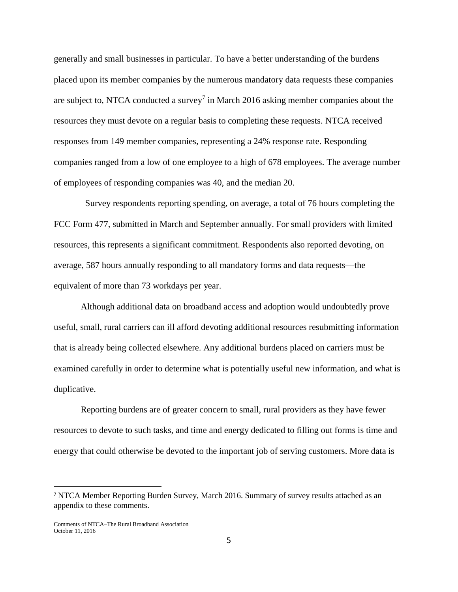generally and small businesses in particular. To have a better understanding of the burdens placed upon its member companies by the numerous mandatory data requests these companies are subject to, NTCA conducted a survey<sup>7</sup> in March 2016 asking member companies about the resources they must devote on a regular basis to completing these requests. NTCA received responses from 149 member companies, representing a 24% response rate. Responding companies ranged from a low of one employee to a high of 678 employees. The average number of employees of responding companies was 40, and the median 20.

 Survey respondents reporting spending, on average, a total of 76 hours completing the FCC Form 477, submitted in March and September annually. For small providers with limited resources, this represents a significant commitment. Respondents also reported devoting, on average, 587 hours annually responding to all mandatory forms and data requests—the equivalent of more than 73 workdays per year.

Although additional data on broadband access and adoption would undoubtedly prove useful, small, rural carriers can ill afford devoting additional resources resubmitting information that is already being collected elsewhere. Any additional burdens placed on carriers must be examined carefully in order to determine what is potentially useful new information, and what is duplicative.

Reporting burdens are of greater concern to small, rural providers as they have fewer resources to devote to such tasks, and time and energy dedicated to filling out forms is time and energy that could otherwise be devoted to the important job of serving customers. More data is

<sup>7</sup> NTCA Member Reporting Burden Survey, March 2016. Summary of survey results attached as an appendix to these comments.

Comments of NTCA–The Rural Broadband Association October 11, 2016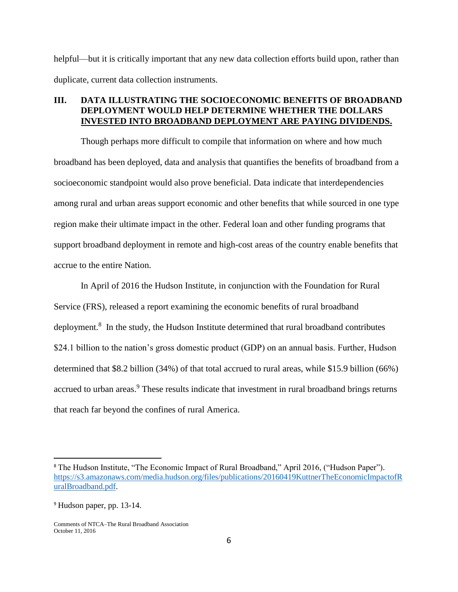helpful—but it is critically important that any new data collection efforts build upon, rather than duplicate, current data collection instruments.

# **III. DATA ILLUSTRATING THE SOCIOECONOMIC BENEFITS OF BROADBAND DEPLOYMENT WOULD HELP DETERMINE WHETHER THE DOLLARS INVESTED INTO BROADBAND DEPLOYMENT ARE PAYING DIVIDENDS.**

Though perhaps more difficult to compile that information on where and how much broadband has been deployed, data and analysis that quantifies the benefits of broadband from a socioeconomic standpoint would also prove beneficial. Data indicate that interdependencies among rural and urban areas support economic and other benefits that while sourced in one type region make their ultimate impact in the other. Federal loan and other funding programs that support broadband deployment in remote and high-cost areas of the country enable benefits that accrue to the entire Nation.

In April of 2016 the Hudson Institute, in conjunction with the Foundation for Rural Service (FRS), released a report examining the economic benefits of rural broadband deployment.<sup>8</sup> In the study, the Hudson Institute determined that rural broadband contributes \$24.1 billion to the nation's gross domestic product (GDP) on an annual basis. Further, Hudson determined that \$8.2 billion (34%) of that total accrued to rural areas, while \$15.9 billion (66%) accrued to urban areas.<sup>9</sup> These results indicate that investment in rural broadband brings returns that reach far beyond the confines of rural America.

<sup>&</sup>lt;sup>8</sup> The Hudson Institute, "The Economic Impact of Rural Broadband," April 2016, ("Hudson Paper"). [https://s3.amazonaws.com/media.hudson.org/files/publications/20160419KuttnerTheEconomicImpactofR](https://s3.amazonaws.com/media.hudson.org/files/publications/20160419KuttnerTheEconomicImpactofRuralBroadband.pdf) [uralBroadband.pdf.](https://s3.amazonaws.com/media.hudson.org/files/publications/20160419KuttnerTheEconomicImpactofRuralBroadband.pdf)

<sup>9</sup> Hudson paper, pp. 13-14.

Comments of NTCA–The Rural Broadband Association October 11, 2016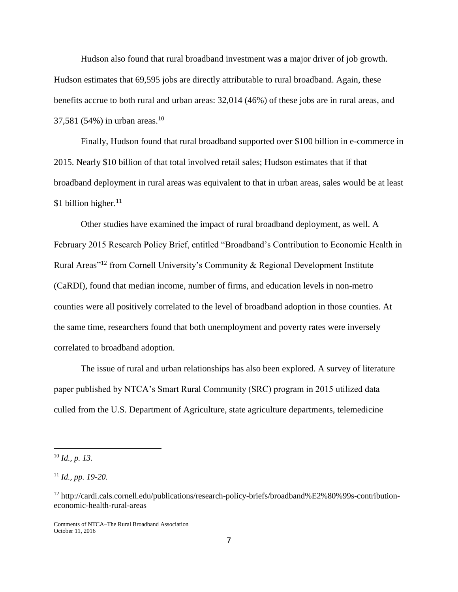Hudson also found that rural broadband investment was a major driver of job growth. Hudson estimates that 69,595 jobs are directly attributable to rural broadband. Again, these benefits accrue to both rural and urban areas: 32,014 (46%) of these jobs are in rural areas, and 37,581 (54%) in urban areas.<sup>10</sup>

Finally, Hudson found that rural broadband supported over \$100 billion in e-commerce in 2015. Nearly \$10 billion of that total involved retail sales; Hudson estimates that if that broadband deployment in rural areas was equivalent to that in urban areas, sales would be at least \$1 billion higher.<sup>11</sup>

Other studies have examined the impact of rural broadband deployment, as well. A February 2015 Research Policy Brief, entitled "Broadband's Contribution to Economic Health in Rural Areas"<sup>12</sup> from Cornell University's Community & Regional Development Institute (CaRDI), found that median income, number of firms, and education levels in non-metro counties were all positively correlated to the level of broadband adoption in those counties. At the same time, researchers found that both unemployment and poverty rates were inversely correlated to broadband adoption.

The issue of rural and urban relationships has also been explored. A survey of literature paper published by NTCA's Smart Rural Community (SRC) program in 2015 utilized data culled from the U.S. Department of Agriculture, state agriculture departments, telemedicine

<sup>10</sup> *Id., p. 13.*

<sup>11</sup> *Id., pp. 19-20.*

 $12$  http://cardi.cals.cornell.edu/publications/research-policy-briefs/broadband%E2%80%99s-contributioneconomic-health-rural-areas

Comments of NTCA–The Rural Broadband Association October 11, 2016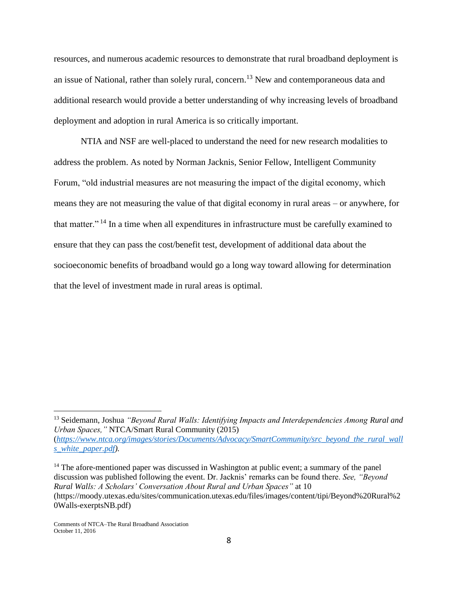resources, and numerous academic resources to demonstrate that rural broadband deployment is an issue of National, rather than solely rural, concern.<sup>13</sup> New and contemporaneous data and additional research would provide a better understanding of why increasing levels of broadband deployment and adoption in rural America is so critically important.

 NTIA and NSF are well-placed to understand the need for new research modalities to address the problem. As noted by Norman Jacknis, Senior Fellow, Intelligent Community Forum, "old industrial measures are not measuring the impact of the digital economy, which means they are not measuring the value of that digital economy in rural areas – or anywhere, for that matter." <sup>14</sup> In a time when all expenditures in infrastructure must be carefully examined to ensure that they can pass the cost/benefit test, development of additional data about the socioeconomic benefits of broadband would go a long way toward allowing for determination that the level of investment made in rural areas is optimal.

<sup>13</sup> Seidemann, Joshua *"Beyond Rural Walls: Identifying Impacts and Interdependencies Among Rural and Urban Spaces,"* NTCA/Smart Rural Community (2015) (*[https://www.ntca.org/images/stories/Documents/Advocacy/SmartCommunity/src\\_beyond\\_the\\_rural\\_wall](https://www.ntca.org/images/stories/Documents/Advocacy/SmartCommunity/src_beyond_the_rural_walls_white_paper.pdf) [s\\_white\\_paper.pdf\)](https://www.ntca.org/images/stories/Documents/Advocacy/SmartCommunity/src_beyond_the_rural_walls_white_paper.pdf).* 

<sup>&</sup>lt;sup>14</sup> The afore-mentioned paper was discussed in Washington at public event; a summary of the panel discussion was published following the event. Dr. Jacknis' remarks can be found there. *See, "Beyond Rural Walls: A Scholars' Conversation About Rural and Urban Spaces"* at 10 (https://moody.utexas.edu/sites/communication.utexas.edu/files/images/content/tipi/Beyond%20Rural%2 0Walls-exerptsNB.pdf)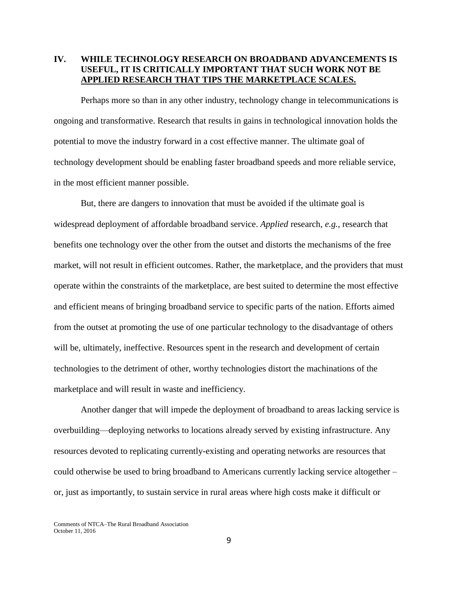# **IV. WHILE TECHNOLOGY RESEARCH ON BROADBAND ADVANCEMENTS IS USEFUL, IT IS CRITICALLY IMPORTANT THAT SUCH WORK NOT BE APPLIED RESEARCH THAT TIPS THE MARKETPLACE SCALES.**

Perhaps more so than in any other industry, technology change in telecommunications is ongoing and transformative. Research that results in gains in technological innovation holds the potential to move the industry forward in a cost effective manner. The ultimate goal of technology development should be enabling faster broadband speeds and more reliable service, in the most efficient manner possible.

But, there are dangers to innovation that must be avoided if the ultimate goal is widespread deployment of affordable broadband service. *Applied* research, *e.g.,* research that benefits one technology over the other from the outset and distorts the mechanisms of the free market, will not result in efficient outcomes. Rather, the marketplace, and the providers that must operate within the constraints of the marketplace, are best suited to determine the most effective and efficient means of bringing broadband service to specific parts of the nation. Efforts aimed from the outset at promoting the use of one particular technology to the disadvantage of others will be, ultimately, ineffective. Resources spent in the research and development of certain technologies to the detriment of other, worthy technologies distort the machinations of the marketplace and will result in waste and inefficiency.

Another danger that will impede the deployment of broadband to areas lacking service is overbuilding—deploying networks to locations already served by existing infrastructure. Any resources devoted to replicating currently-existing and operating networks are resources that could otherwise be used to bring broadband to Americans currently lacking service altogether – or, just as importantly, to sustain service in rural areas where high costs make it difficult or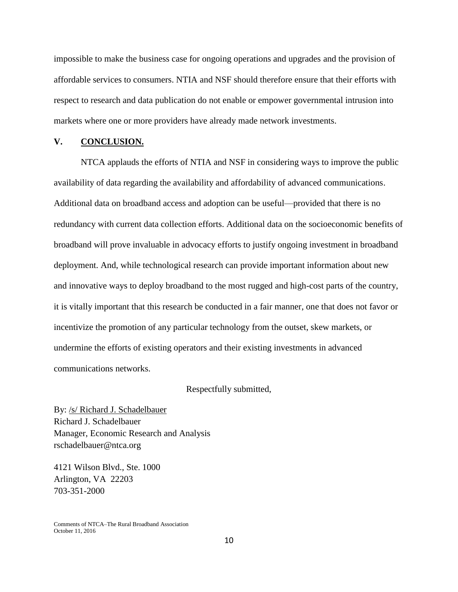impossible to make the business case for ongoing operations and upgrades and the provision of affordable services to consumers. NTIA and NSF should therefore ensure that their efforts with respect to research and data publication do not enable or empower governmental intrusion into markets where one or more providers have already made network investments.

### **V. CONCLUSION.**

NTCA applauds the efforts of NTIA and NSF in considering ways to improve the public availability of data regarding the availability and affordability of advanced communications. Additional data on broadband access and adoption can be useful—provided that there is no redundancy with current data collection efforts. Additional data on the socioeconomic benefits of broadband will prove invaluable in advocacy efforts to justify ongoing investment in broadband deployment. And, while technological research can provide important information about new and innovative ways to deploy broadband to the most rugged and high-cost parts of the country, it is vitally important that this research be conducted in a fair manner, one that does not favor or incentivize the promotion of any particular technology from the outset, skew markets, or undermine the efforts of existing operators and their existing investments in advanced communications networks.

Respectfully submitted,

By: /s/ Richard J. Schadelbauer Richard J. Schadelbauer Manager, Economic Research and Analysis rschadelbauer@ntca.org

4121 Wilson Blvd., Ste. 1000 Arlington, VA 22203 703-351-2000

Comments of NTCA–The Rural Broadband Association October 11, 2016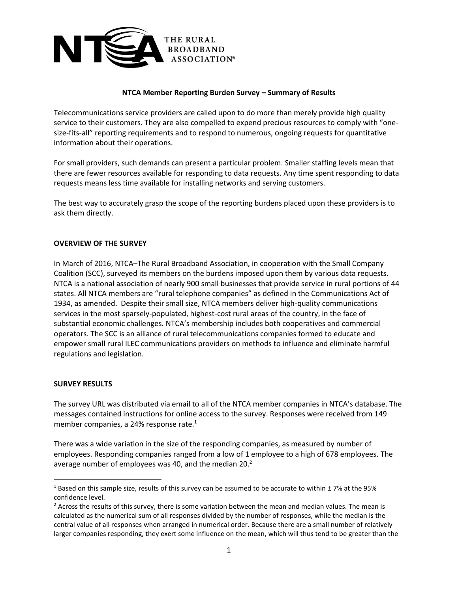

### **NTCA Member Reporting Burden Survey – Summary of Results**

Telecommunications service providers are called upon to do more than merely provide high quality service to their customers. They are also compelled to expend precious resources to comply with "onesize-fits-all" reporting requirements and to respond to numerous, ongoing requests for quantitative information about their operations.

For small providers, such demands can present a particular problem. Smaller staffing levels mean that there are fewer resources available for responding to data requests. Any time spent responding to data requests means less time available for installing networks and serving customers.

The best way to accurately grasp the scope of the reporting burdens placed upon these providers is to ask them directly.

### **OVERVIEW OF THE SURVEY**

In March of 2016, NTCA–The Rural Broadband Association, in cooperation with the Small Company Coalition (SCC), surveyed its members on the burdens imposed upon them by various data requests. NTCA is a national association of nearly 900 small businesses that provide service in rural portions of 44 states. All NTCA members are "rural telephone companies" as defined in the Communications Act of 1934, as amended. Despite their small size, NTCA members deliver high-quality communications services in the most sparsely-populated, highest-cost rural areas of the country, in the face of substantial economic challenges. NTCA's membership includes both cooperatives and commercial operators. The SCC is an alliance of rural telecommunications companies formed to educate and empower small rural ILEC communications providers on methods to influence and eliminate harmful regulations and legislation.

### **SURVEY RESULTS**

 $\overline{a}$ 

The survey URL was distributed via email to all of the NTCA member companies in NTCA's database. The messages contained instructions for online access to the survey. Responses were received from 149 member companies, a 24% response rate.<sup>1</sup>

There was a wide variation in the size of the responding companies, as measured by number of employees. Responding companies ranged from a low of 1 employee to a high of 678 employees. The average number of employees was 40, and the median 20.<sup>2</sup>

<sup>&</sup>lt;sup>1</sup> Based on this sample size, results of this survey can be assumed to be accurate to within  $\pm$  7% at the 95% confidence level.

<sup>&</sup>lt;sup>2</sup> Across the results of this survey, there is some variation between the mean and median values. The mean is calculated as the numerical sum of all responses divided by the number of responses, while the median is the central value of all responses when arranged in numerical order. Because there are a small number of relatively larger companies responding, they exert some influence on the mean, which will thus tend to be greater than the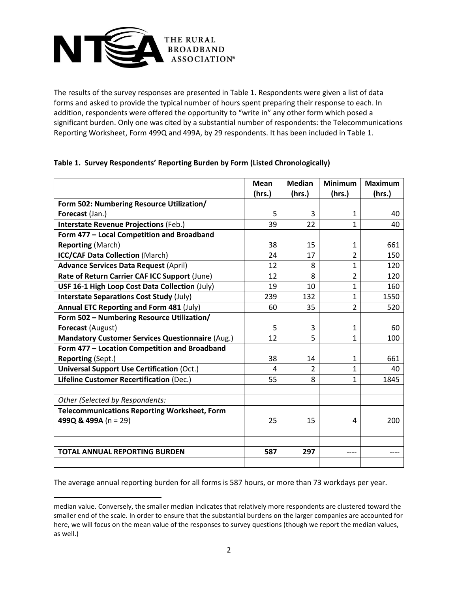

The results of the survey responses are presented in Table 1. Respondents were given a list of data forms and asked to provide the typical number of hours spent preparing their response to each. In addition, respondents were offered the opportunity to "write in" any other form which posed a significant burden. Only one was cited by a substantial number of respondents: the Telecommunications Reporting Worksheet, Form 499Q and 499A, by 29 respondents. It has been included in Table 1.

### **Table 1. Survey Respondents' Reporting Burden by Form (Listed Chronologically)**

|                                                     | Mean   | <b>Median</b>  | <b>Minimum</b> | <b>Maximum</b> |
|-----------------------------------------------------|--------|----------------|----------------|----------------|
|                                                     | (hrs.) | (hrs.)         | (hrs.)         | (hrs.)         |
| Form 502: Numbering Resource Utilization/           |        |                |                |                |
| Forecast (Jan.)                                     | 5      | 3              | 1              | 40             |
| Interstate Revenue Projections (Feb.)               | 39     | 22             | $\mathbf{1}$   | 40             |
| Form 477 - Local Competition and Broadband          |        |                |                |                |
| <b>Reporting (March)</b>                            | 38     | 15             | 1              | 661            |
| <b>ICC/CAF Data Collection (March)</b>              | 24     | 17             | $\overline{2}$ | 150            |
| <b>Advance Services Data Request (April)</b>        | 12     | 8              | 1              | 120            |
| Rate of Return Carrier CAF ICC Support (June)       | 12     | 8              | $\overline{2}$ | 120            |
| USF 16-1 High Loop Cost Data Collection (July)      | 19     | 10             | $\mathbf{1}$   | 160            |
| <b>Interstate Separations Cost Study (July)</b>     | 239    | 132            | $\mathbf{1}$   | 1550           |
| Annual ETC Reporting and Form 481 (July)            | 60     | 35             | $\overline{2}$ | 520            |
| Form 502 - Numbering Resource Utilization/          |        |                |                |                |
| <b>Forecast (August)</b>                            | 5      | 3              | 1              | 60             |
| Mandatory Customer Services Questionnaire (Aug.)    | 12     | 5              | $\mathbf{1}$   | 100            |
| Form 477 - Location Competition and Broadband       |        |                |                |                |
| <b>Reporting (Sept.)</b>                            | 38     | 14             | $\mathbf{1}$   | 661            |
| <b>Universal Support Use Certification (Oct.)</b>   | 4      | $\overline{2}$ | 1              | 40             |
| Lifeline Customer Recertification (Dec.)            | 55     | 8              | $\mathbf{1}$   | 1845           |
|                                                     |        |                |                |                |
| Other (Selected by Respondents:                     |        |                |                |                |
| <b>Telecommunications Reporting Worksheet, Form</b> |        |                |                |                |
| 499Q & 499A (n = 29)                                | 25     | 15             | 4              | 200            |
|                                                     |        |                |                |                |
|                                                     |        |                |                |                |
| <b>TOTAL ANNUAL REPORTING BURDEN</b>                | 587    | 297            |                |                |
|                                                     |        |                |                |                |

The average annual reporting burden for all forms is 587 hours, or more than 73 workdays per year.

median value. Conversely, the smaller median indicates that relatively more respondents are clustered toward the smaller end of the scale. In order to ensure that the substantial burdens on the larger companies are accounted for here, we will focus on the mean value of the responses to survey questions (though we report the median values, as well.)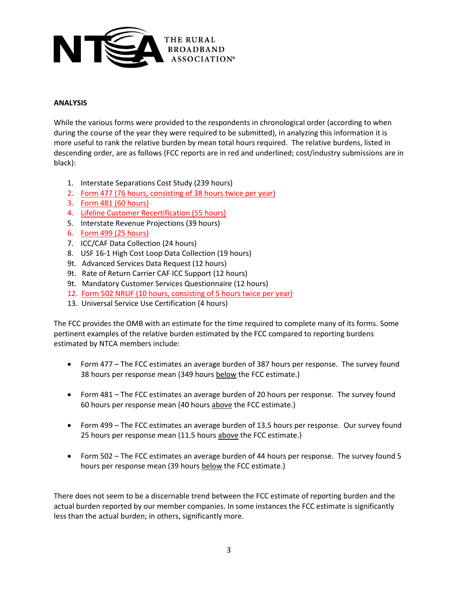

### **ANALYSIS**

While the various forms were provided to the respondents in chronological order (according to when during the course of the year they were required to be submitted), in analyzing this information it is more useful to rank the relative burden by mean total hours required. The relative burdens, listed in descending order, are as follows (FCC reports are in red and underlined; cost/industry submissions are in black):

- 1. Interstate Separations Cost Study (239 hours)
- 2. Form 477 (76 hours, consisting of 38 hours twice per year)
- 3. Form 481 (60 hours)
- 4. Lifeline Customer Recertification (55 hours)
- 5. Interstate Revenue Projections (39 hours)
- 6. Form 499 (25 hours)
- 7. ICC/CAF Data Collection (24 hours)
- 8. USF 16-1 High Cost Loop Data Collection (19 hours)
- 9t. Advanced Services Data Request (12 hours)
- 9t. Rate of Return Carrier CAF ICC Support (12 hours)
- 9t. Mandatory Customer Services Questionnaire (12 hours)
- 12. Form 502 NRUF (10 hours, consisting of 5 hours twice per year)
- 13. Universal Service Use Certification (4 hours)

The FCC provides the OMB with an estimate for the time required to complete many of its forms. Some pertinent examples of the relative burden estimated by the FCC compared to reporting burdens estimated by NTCA members include:

- Form 477 The FCC estimates an average burden of 387 hours per response. The survey found 38 hours per response mean (349 hours below the FCC estimate.)
- Form 481 The FCC estimates an average burden of 20 hours per response. The survey found 60 hours per response mean (40 hours above the FCC estimate.)
- Form 499 The FCC estimates an average burden of 13.5 hours per response. Our survey found 25 hours per response mean (11.5 hours above the FCC estimate.)
- Form 502 The FCC estimates an average burden of 44 hours per response. The survey found 5 hours per response mean (39 hours below the FCC estimate.)

There does not seem to be a discernable trend between the FCC estimate of reporting burden and the actual burden reported by our member companies. In some instances the FCC estimate is significantly less than the actual burden; in others, significantly more.